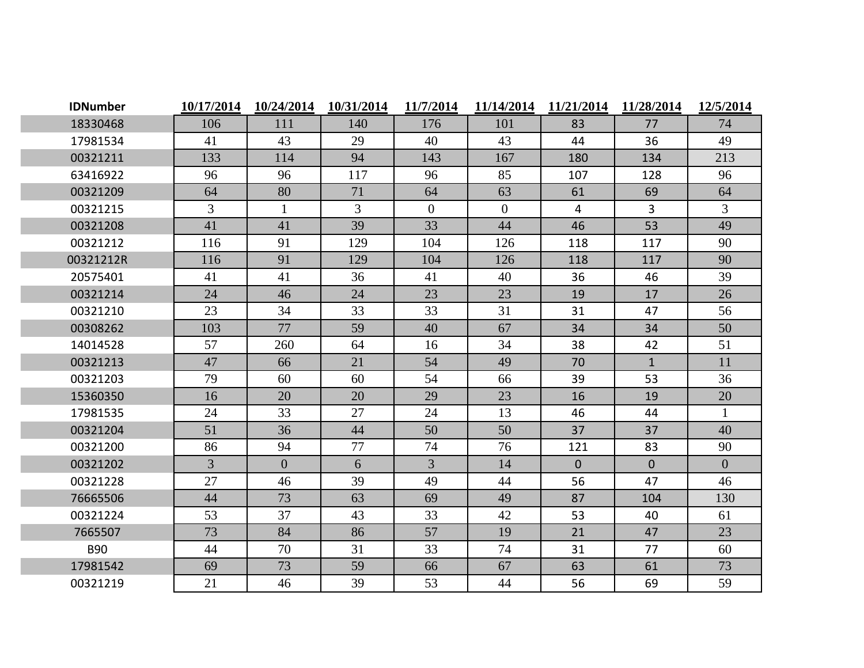| <b>IDNumber</b> | 10/17/2014 | 10/24/2014     | 10/31/2014 | 11/7/2014      | 11/14/2014     | 11/21/2014     | 11/28/2014   | 12/5/2014      |
|-----------------|------------|----------------|------------|----------------|----------------|----------------|--------------|----------------|
| 18330468        | 106        | 111            | 140        | 176            | 101            | 83             | 77           | 74             |
| 17981534        | 41         | 43             | 29         | 40             | 43             | 44             | 36           | 49             |
| 00321211        | 133        | 114            | 94         | 143            | 167            | 180            | 134          | 213            |
| 63416922        | 96         | 96             | 117        | 96             | 85             | 107            | 128          | 96             |
| 00321209        | 64         | 80             | 71         | 64             | 63             | 61             | 69           | 64             |
| 00321215        | 3          | $\mathbf{1}$   | 3          | $\mathbf{0}$   | $\overline{0}$ | 4              | 3            | 3              |
| 00321208        | 41         | 41             | 39         | 33             | 44             | 46             | 53           | 49             |
| 00321212        | 116        | 91             | 129        | 104            | 126            | 118            | 117          | 90             |
| 00321212R       | 116        | 91             | 129        | 104            | 126            | 118            | 117          | 90             |
| 20575401        | 41         | 41             | 36         | 41             | 40             | 36             | 46           | 39             |
| 00321214        | 24         | 46             | 24         | 23             | 23             | 19             | 17           | 26             |
| 00321210        | 23         | 34             | 33         | 33             | 31             | 31             | 47           | 56             |
| 00308262        | 103        | 77             | 59         | 40             | 67             | 34             | 34           | 50             |
| 14014528        | 57         | 260            | 64         | 16             | 34             | 38             | 42           | 51             |
| 00321213        | 47         | 66             | 21         | 54             | 49             | 70             | $\mathbf{1}$ | 11             |
| 00321203        | 79         | 60             | 60         | 54             | 66             | 39             | 53           | 36             |
| 15360350        | 16         | 20             | 20         | 29             | 23             | 16             | 19           | 20             |
| 17981535        | 24         | 33             | 27         | 24             | 13             | 46             | 44           | $\mathbf{1}$   |
| 00321204        | 51         | 36             | 44         | 50             | 50             | 37             | 37           | 40             |
| 00321200        | 86         | 94             | 77         | 74             | 76             | 121            | 83           | 90             |
| 00321202        | 3          | $\overline{0}$ | 6          | $\overline{3}$ | 14             | $\overline{0}$ | $\mathbf{0}$ | $\overline{0}$ |
| 00321228        | 27         | 46             | 39         | 49             | 44             | 56             | 47           | 46             |
| 76665506        | 44         | 73             | 63         | 69             | 49             | 87             | 104          | 130            |
| 00321224        | 53         | 37             | 43         | 33             | 42             | 53             | 40           | 61             |
| 7665507         | 73         | 84             | 86         | 57             | 19             | 21             | 47           | 23             |
| <b>B90</b>      | 44         | 70             | 31         | 33             | 74             | 31             | 77           | 60             |
| 17981542        | 69         | 73             | 59         | 66             | 67             | 63             | 61           | 73             |
| 00321219        | 21         | 46             | 39         | 53             | 44             | 56             | 69           | 59             |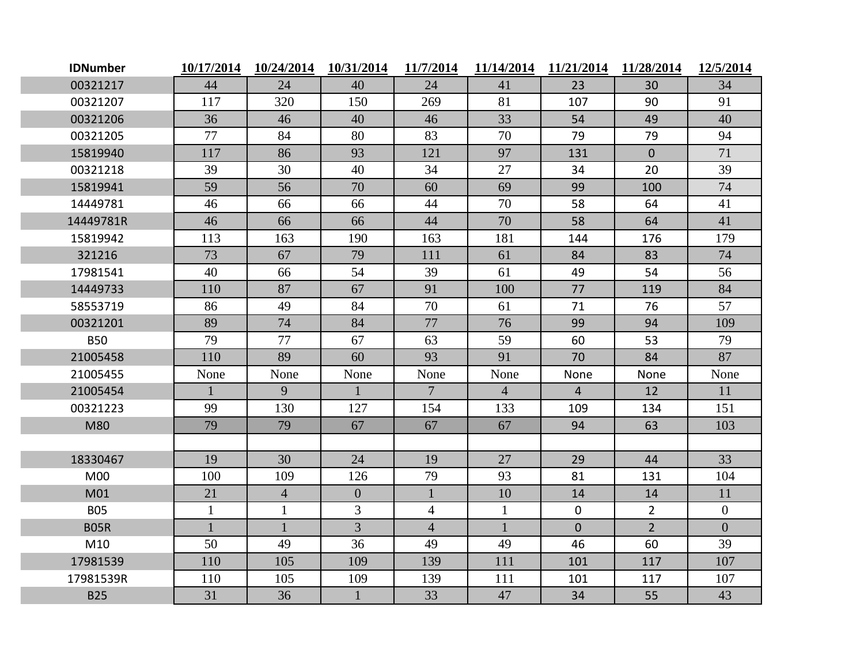| <b>IDNumber</b> | 10/17/2014   | 10/24/2014     | 10/31/2014     | 11/7/2014       | 11/14/2014     | 11/21/2014     | 11/28/2014     | 12/5/2014      |
|-----------------|--------------|----------------|----------------|-----------------|----------------|----------------|----------------|----------------|
| 00321217        | 44           | 24             | 40             | 24              | 41             | 23             | 30             | 34             |
| 00321207        | 117          | 320            | 150            | 269             | 81             | 107            | 90             | 91             |
| 00321206        | 36           | 46             | 40             | 46              | 33             | 54             | 49             | 40             |
| 00321205        | 77           | 84             | 80             | 83              | 70             | 79             | 79             | 94             |
| 15819940        | 117          | 86             | 93             | 121             | 97             | 131            | $\overline{0}$ | 71             |
| 00321218        | 39           | 30             | 40             | 34              | 27             | 34             | 20             | 39             |
| 15819941        | 59           | 56             | 70             | 60              | 69             | 99             | 100            | 74             |
| 14449781        | 46           | 66             | 66             | 44              | 70             | 58             | 64             | 41             |
| 14449781R       | 46           | 66             | 66             | 44              | 70             | 58             | 64             | 41             |
| 15819942        | 113          | 163            | 190            | 163             | 181            | 144            | 176            | 179            |
| 321216          | 73           | 67             | 79             | 111             | 61             | 84             | 83             | 74             |
| 17981541        | 40           | 66             | 54             | 39              | 61             | 49             | 54             | 56             |
| 14449733        | 110          | 87             | 67             | 91              | 100            | 77             | 119            | 84             |
| 58553719        | 86           | 49             | 84             | 70              | 61             | 71             | 76             | 57             |
| 00321201        | 89           | 74             | 84             | 77              | 76             | 99             | 94             | 109            |
| <b>B50</b>      | 79           | 77             | 67             | 63              | 59             | 60             | 53             | 79             |
| 21005458        | 110          | 89             | 60             | 93              | 91             | 70             | 84             | 87             |
| 21005455        | None         | None           | None           | None            | None           | None           | None           | None           |
| 21005454        | $\mathbf{1}$ | 9              | $\mathbf{1}$   | $7\overline{ }$ | $\overline{4}$ | $\overline{4}$ | 12             | 11             |
| 00321223        | 99           | 130            | 127            | 154             | 133            | 109            | 134            | 151            |
| M80             | 79           | 79             | 67             | 67              | 67             | 94             | 63             | 103            |
|                 |              |                |                |                 |                |                |                |                |
| 18330467        | 19           | 30             | 24             | 19              | 27             | 29             | 44             | 33             |
| <b>M00</b>      | 100          | 109            | 126            | 79              | 93             | 81             | 131            | 104            |
| M01             | 21           | $\overline{4}$ | $\overline{0}$ | $\mathbf{1}$    | 10             | 14             | 14             | 11             |
| <b>B05</b>      | $\mathbf{1}$ | $\mathbf{1}$   | $\overline{3}$ | $\overline{4}$  | $\mathbf{1}$   | $\mathbf 0$    | $\overline{2}$ | $\overline{0}$ |
| <b>B05R</b>     | $\mathbf{1}$ | $\mathbf{1}$   | $\overline{3}$ | $\overline{4}$  | $\mathbf{1}$   | $\mathbf{0}$   | $\overline{2}$ | $\overline{0}$ |
| M10             | 50           | 49             | 36             | 49              | 49             | 46             | 60             | 39             |
| 17981539        | 110          | 105            | 109            | 139             | 111            | 101            | 117            | 107            |
| 17981539R       | 110          | 105            | 109            | 139             | 111            | 101            | 117            | 107            |
| <b>B25</b>      | 31           | 36             | $\mathbf{1}$   | 33              | 47             | 34             | 55             | 43             |